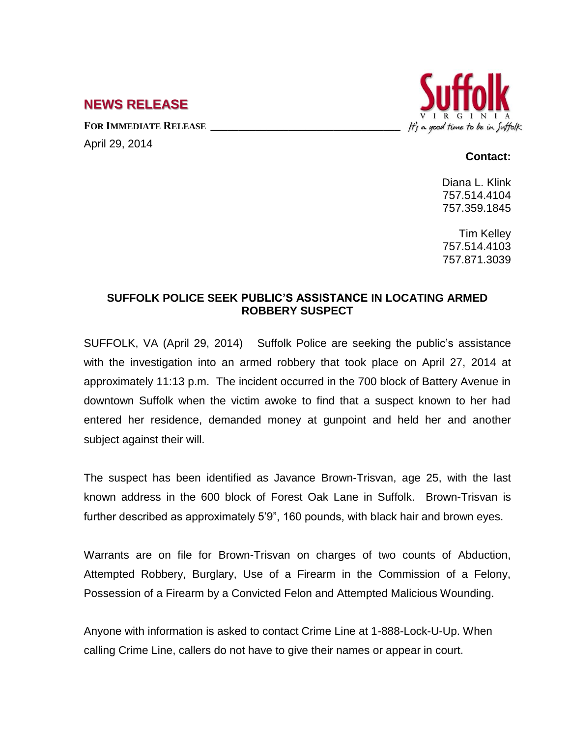## **NEWS RELEASE**

**FOR IMMEDIATE RELEASE \_\_\_\_\_\_\_\_\_\_\_\_\_\_\_\_\_\_\_\_\_\_\_\_\_\_\_\_\_\_\_\_\_\_**

April 29, 2014



## **Contact:**

Diana L. Klink 757.514.4104 757.359.1845

Tim Kelley 757.514.4103 757.871.3039

## **SUFFOLK POLICE SEEK PUBLIC'S ASSISTANCE IN LOCATING ARMED ROBBERY SUSPECT**

SUFFOLK, VA (April 29, 2014) Suffolk Police are seeking the public's assistance with the investigation into an armed robbery that took place on April 27, 2014 at approximately 11:13 p.m. The incident occurred in the 700 block of Battery Avenue in downtown Suffolk when the victim awoke to find that a suspect known to her had entered her residence, demanded money at gunpoint and held her and another subject against their will.

The suspect has been identified as Javance Brown-Trisvan, age 25, with the last known address in the 600 block of Forest Oak Lane in Suffolk. Brown-Trisvan is further described as approximately 5'9", 160 pounds, with black hair and brown eyes.

Warrants are on file for Brown-Trisvan on charges of two counts of Abduction, Attempted Robbery, Burglary, Use of a Firearm in the Commission of a Felony, Possession of a Firearm by a Convicted Felon and Attempted Malicious Wounding.

Anyone with information is asked to contact Crime Line at 1-888-Lock-U-Up. When calling Crime Line, callers do not have to give their names or appear in court.